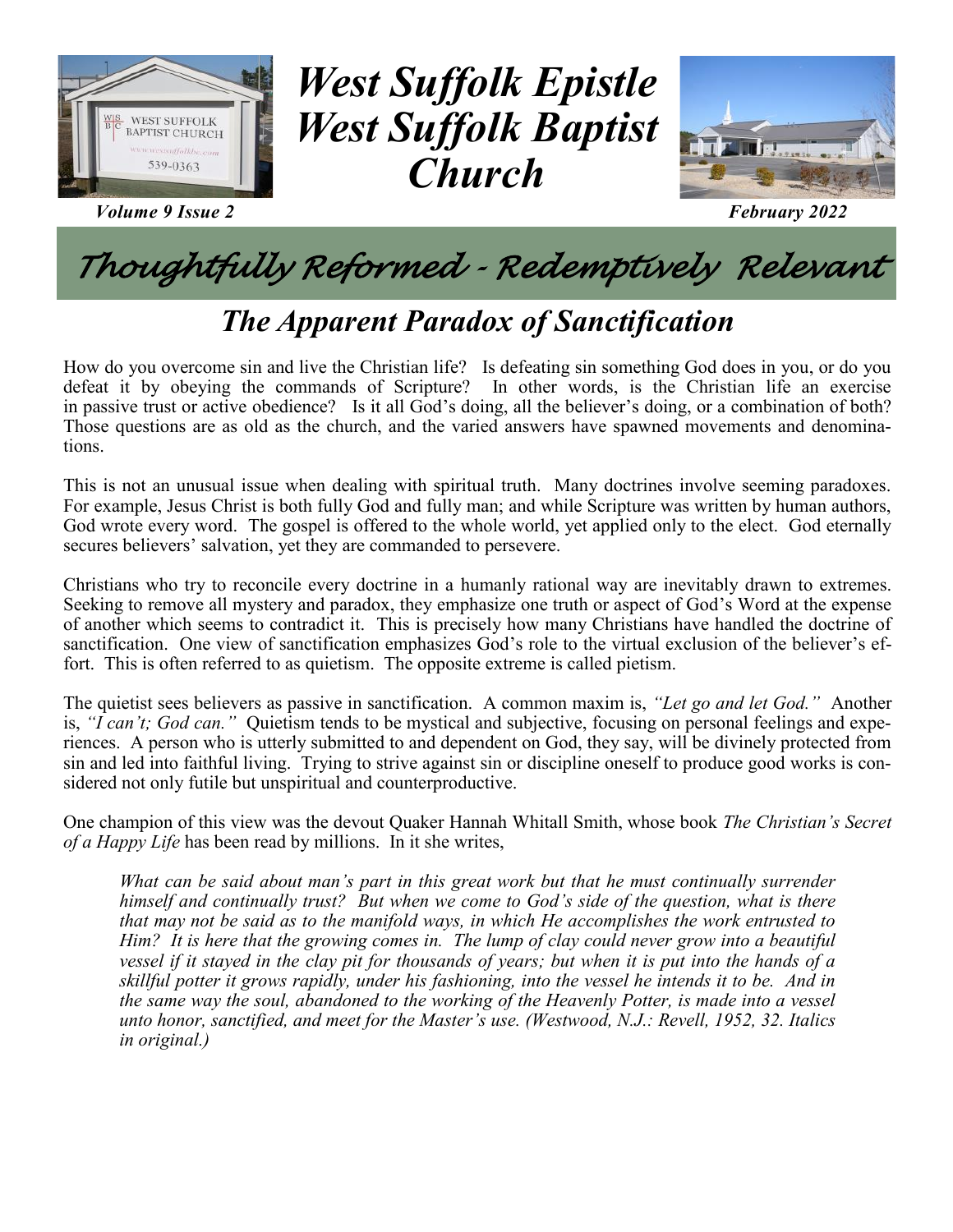

*Volume 9 Issue 2 February 2022*

# *West Suffolk Epistle West Suffolk Baptist Church*



# *Thoughtfully Reformed - Redemptively Relevant*

## *The Apparent Paradox of Sanctification*

How do you overcome sin and live the Christian life? Is defeating sin something God does in you, or do you defeat it by obeying the commands of Scripture? In other words, is the Christian life an exercise in passive trust or active obedience? Is it all God's doing, all the believer's doing, or a combination of both? Those questions are as old as the church, and the varied answers have spawned movements and denominations.

This is not an unusual issue when dealing with spiritual truth. Many doctrines involve seeming paradoxes. For example, Jesus Christ is both fully God and fully man; and while Scripture was written by human authors, God wrote every word. The gospel is offered to the whole world, yet applied only to the elect. God eternally secures believers' salvation, yet they are commanded to persevere.

Christians who try to reconcile every doctrine in a humanly rational way are inevitably drawn to extremes. Seeking to remove all mystery and paradox, they emphasize one truth or aspect of God's Word at the expense of another which seems to contradict it. This is precisely how many Christians have handled the doctrine of sanctification. One view of sanctification emphasizes God's role to the virtual exclusion of the believer's effort. This is often referred to as quietism. The opposite extreme is called pietism.

The quietist sees believers as passive in sanctification. A common maxim is, *"Let go and let God."* Another is, *"I can't; God can."* Quietism tends to be mystical and subjective, focusing on personal feelings and experiences. A person who is utterly submitted to and dependent on God, they say, will be divinely protected from sin and led into faithful living. Trying to strive against sin or discipline oneself to produce good works is considered not only futile but unspiritual and counterproductive.

One champion of this view was the devout Quaker Hannah Whitall Smith, whose book *The Christian's Secret of a Happy Life* has been read by millions. In it she writes,

*What can be said about man's part in this great work but that he must continually surrender himself and continually trust? But when we come to God's side of the question, what is there that may not be said as to the manifold ways, in which He accomplishes the work entrusted to Him? It is here that the growing comes in. The lump of clay could never grow into a beautiful vessel if it stayed in the clay pit for thousands of years; but when it is put into the hands of a skillful potter it grows rapidly, under his fashioning, into the vessel he intends it to be. And in the same way the soul, abandoned to the working of the Heavenly Potter, is made into a vessel unto honor, sanctified, and meet for the Master's use. (Westwood, N.J.: Revell, 1952, 32. Italics in original.)*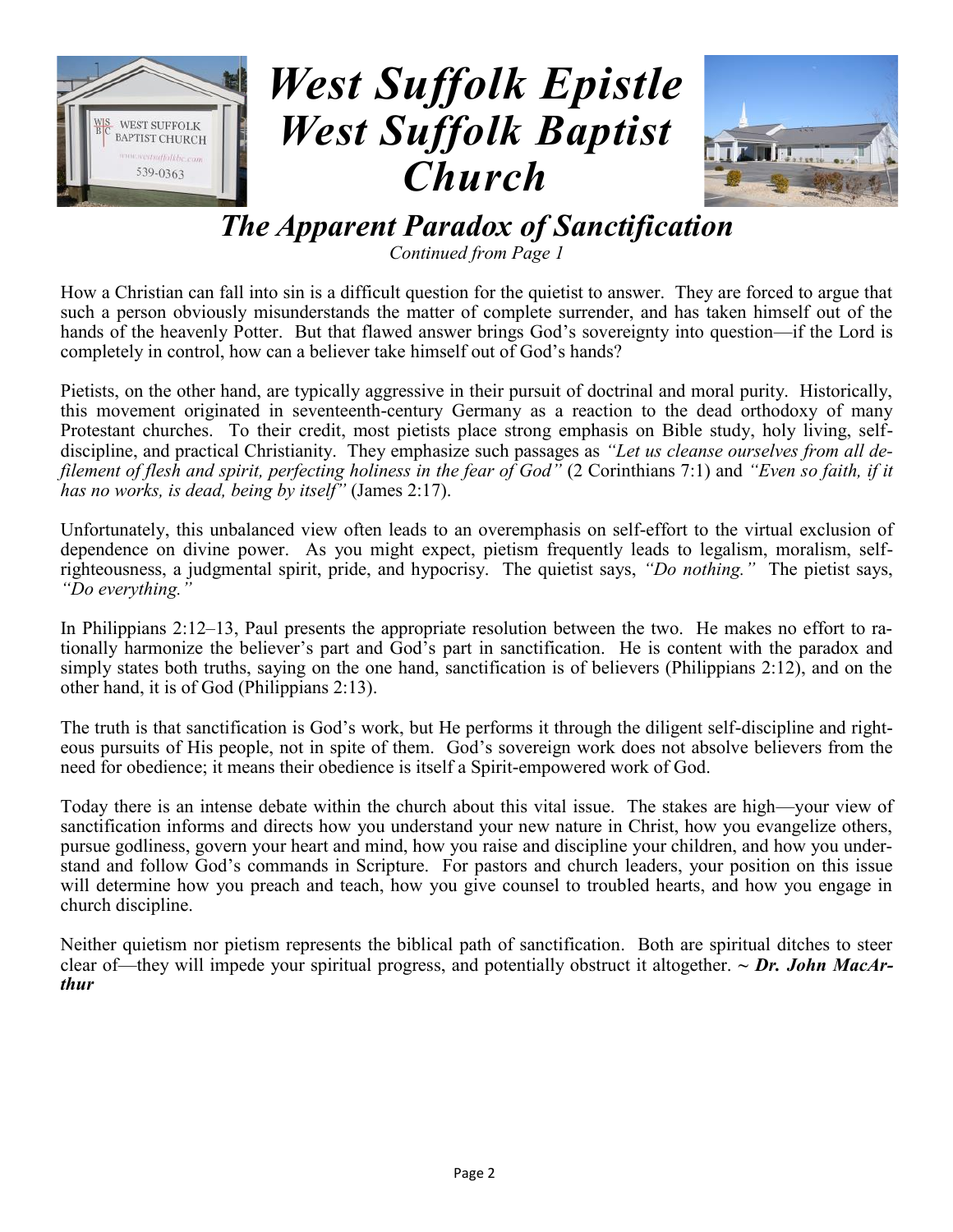



### *The Apparent Paradox of Sanctification*

*Continued from Page 1*

How a Christian can fall into sin is a difficult question for the quietist to answer. They are forced to argue that such a person obviously misunderstands the matter of complete surrender, and has taken himself out of the hands of the heavenly Potter. But that flawed answer brings God's sovereignty into question—if the Lord is completely in control, how can a believer take himself out of God's hands?

Pietists, on the other hand, are typically aggressive in their pursuit of doctrinal and moral purity. Historically, this movement originated in seventeenth-century Germany as a reaction to the dead orthodoxy of many Protestant churches. To their credit, most pietists place strong emphasis on Bible study, holy living, selfdiscipline, and practical Christianity. They emphasize such passages as *"Let us cleanse ourselves from all defilement of flesh and spirit, perfecting holiness in the fear of God"* (2 Corinthians 7:1) and *"Even so faith, if it has no works, is dead, being by itself"* (James 2:17).

Unfortunately, this unbalanced view often leads to an overemphasis on self-effort to the virtual exclusion of dependence on divine power. As you might expect, pietism frequently leads to legalism, moralism, selfrighteousness, a judgmental spirit, pride, and hypocrisy. The quietist says, *"Do nothing."* The pietist says, *"Do everything."*

In Philippians 2:12–13, Paul presents the appropriate resolution between the two. He makes no effort to rationally harmonize the believer's part and God's part in sanctification. He is content with the paradox and simply states both truths, saying on the one hand, sanctification is of believers (Philippians 2:12), and on the other hand, it is of God (Philippians 2:13).

The truth is that sanctification is God's work, but He performs it through the diligent self-discipline and righteous pursuits of His people, not in spite of them. God's sovereign work does not absolve believers from the need for obedience; it means their obedience is itself a Spirit-empowered work of God.

Today there is an intense debate within the church about this vital issue. The stakes are high—your view of sanctification informs and directs how you understand your new nature in Christ, how you evangelize others, pursue godliness, govern your heart and mind, how you raise and discipline your children, and how you understand and follow God's commands in Scripture. For pastors and church leaders, your position on this issue will determine how you preach and teach, how you give counsel to troubled hearts, and how you engage in church discipline.

Neither quietism nor pietism represents the biblical path of sanctification. Both are spiritual ditches to steer clear of—they will impede your spiritual progress, and potentially obstruct it altogether. *~ Dr. John MacArthur*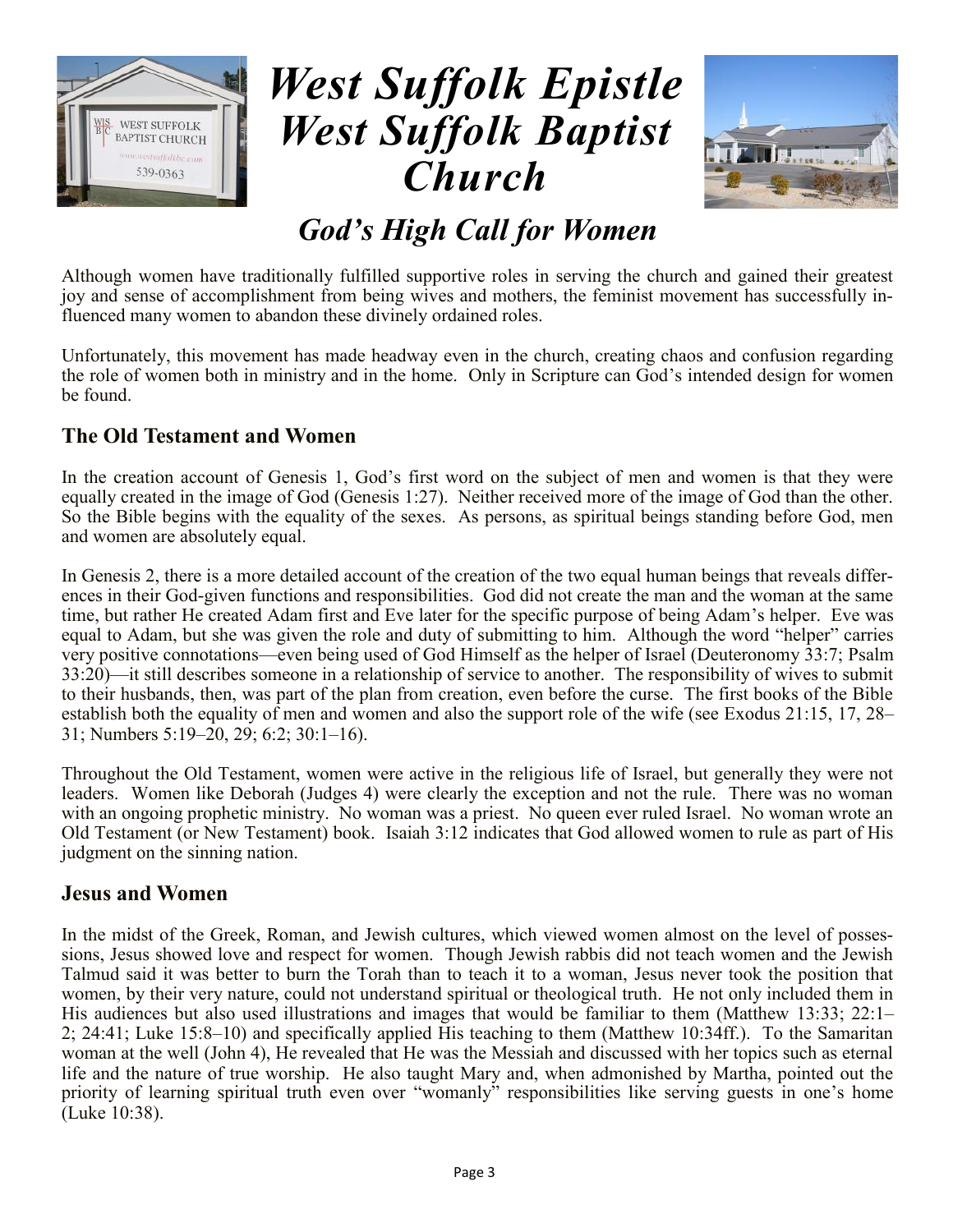



### *God's High Call for Women*

Although women have traditionally fulfilled supportive roles in serving the church and gained their greatest joy and sense of accomplishment from being wives and mothers, the feminist movement has successfully influenced many women to abandon these divinely ordained roles.

Unfortunately, this movement has made headway even in the church, creating chaos and confusion regarding the role of women both in ministry and in the home. Only in Scripture can God's intended design for women be found.

#### **The Old Testament and Women**

In the creation account of Genesis 1, God's first word on the subject of men and women is that they were equally created in the image of God (Genesis 1:27). Neither received more of the image of God than the other. So the Bible begins with the equality of the sexes. As persons, as spiritual beings standing before God, men and women are absolutely equal.

In Genesis 2, there is a more detailed account of the creation of the two equal human beings that reveals differences in their God-given functions and responsibilities. God did not create the man and the woman at the same time, but rather He created Adam first and Eve later for the specific purpose of being Adam's helper. Eve was equal to Adam, but she was given the role and duty of submitting to him. Although the word "helper" carries very positive connotations—even being used of God Himself as the helper of Israel (Deuteronomy 33:7; Psalm 33:20)—it still describes someone in a relationship of service to another. The responsibility of wives to submit to their husbands, then, was part of the plan from creation, even before the curse. The first books of the Bible establish both the equality of men and women and also the support role of the wife (see Exodus 21:15, 17, 28– 31; Numbers 5:19–20, 29; 6:2; 30:1–16).

Throughout the Old Testament, women were active in the religious life of Israel, but generally they were not leaders. Women like Deborah (Judges 4) were clearly the exception and not the rule. There was no woman with an ongoing prophetic ministry. No woman was a priest. No queen ever ruled Israel. No woman wrote an Old Testament (or New Testament) book. Isaiah 3:12 indicates that God allowed women to rule as part of His judgment on the sinning nation.

#### **Jesus and Women**

In the midst of the Greek, Roman, and Jewish cultures, which viewed women almost on the level of possessions, Jesus showed love and respect for women. Though Jewish rabbis did not teach women and the Jewish Talmud said it was better to burn the Torah than to teach it to a woman, Jesus never took the position that women, by their very nature, could not understand spiritual or theological truth. He not only included them in His audiences but also used illustrations and images that would be familiar to them (Matthew 13:33; 22:1– 2; 24:41; Luke 15:8–10) and specifically applied His teaching to them (Matthew 10:34ff.). To the Samaritan woman at the well (John 4), He revealed that He was the Messiah and discussed with her topics such as eternal life and the nature of true worship. He also taught Mary and, when admonished by Martha, pointed out the priority of learning spiritual truth even over "womanly" responsibilities like serving guests in one's home (Luke 10:38).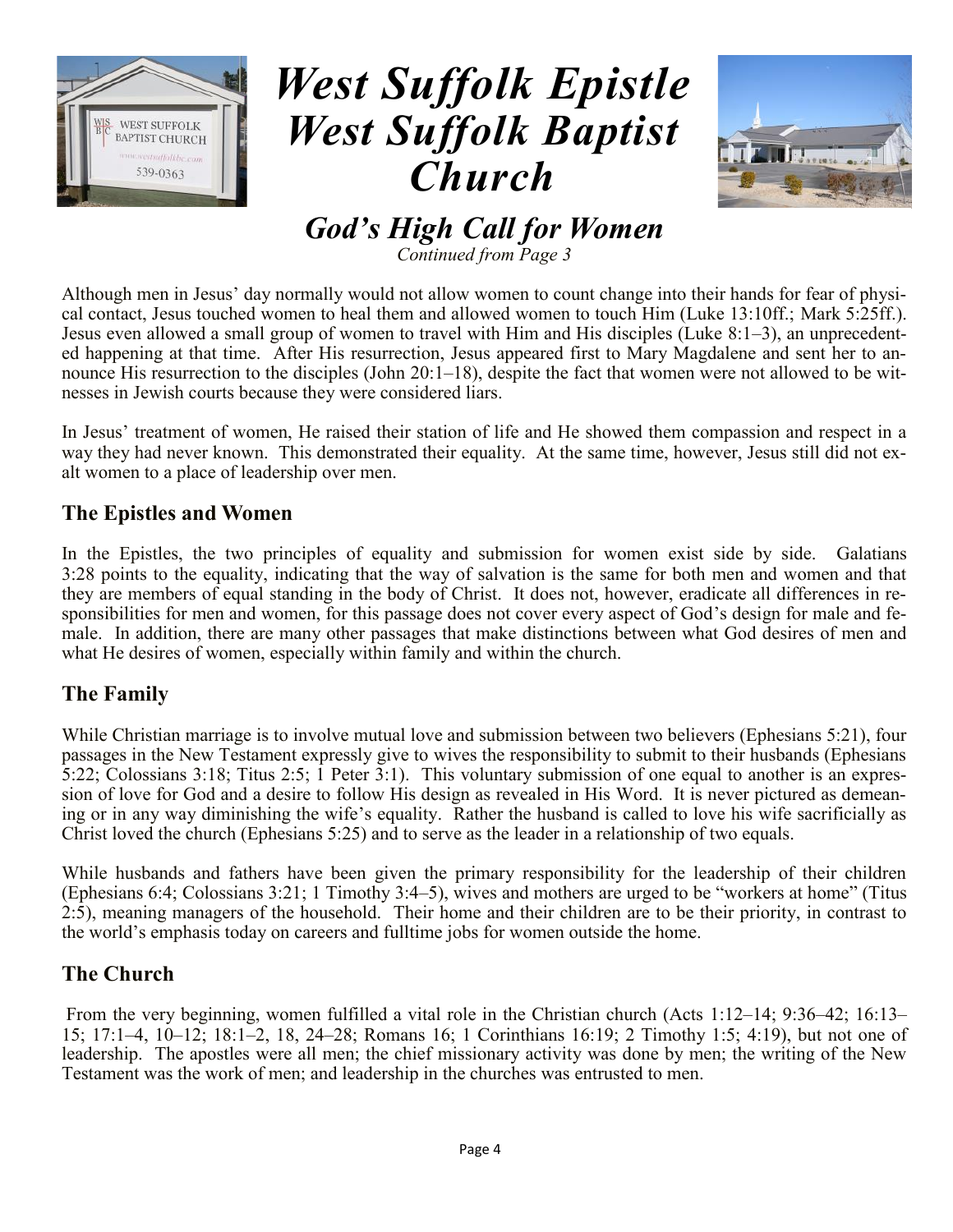



*God's High Call for Women Continued from Page 3*

Although men in Jesus' day normally would not allow women to count change into their hands for fear of physical contact, Jesus touched women to heal them and allowed women to touch Him (Luke 13:10ff.; Mark 5:25ff.). Jesus even allowed a small group of women to travel with Him and His disciples (Luke 8:1–3), an unprecedented happening at that time. After His resurrection, Jesus appeared first to Mary Magdalene and sent her to announce His resurrection to the disciples (John 20:1–18), despite the fact that women were not allowed to be witnesses in Jewish courts because they were considered liars.

In Jesus' treatment of women, He raised their station of life and He showed them compassion and respect in a way they had never known. This demonstrated their equality. At the same time, however, Jesus still did not exalt women to a place of leadership over men.

#### **The Epistles and Women**

In the Epistles, the two principles of equality and submission for women exist side by side. Galatians 3:28 points to the equality, indicating that the way of salvation is the same for both men and women and that they are members of equal standing in the body of Christ. It does not, however, eradicate all differences in responsibilities for men and women, for this passage does not cover every aspect of God's design for male and female. In addition, there are many other passages that make distinctions between what God desires of men and what He desires of women, especially within family and within the church.

#### **The Family**

While Christian marriage is to involve mutual love and submission between two believers (Ephesians 5:21), four passages in the New Testament expressly give to wives the responsibility to submit to their husbands (Ephesians 5:22; Colossians 3:18; Titus 2:5; 1 Peter 3:1). This voluntary submission of one equal to another is an expression of love for God and a desire to follow His design as revealed in His Word. It is never pictured as demeaning or in any way diminishing the wife's equality. Rather the husband is called to love his wife sacrificially as Christ loved the church (Ephesians 5:25) and to serve as the leader in a relationship of two equals.

While husbands and fathers have been given the primary responsibility for the leadership of their children (Ephesians 6:4; Colossians 3:21; 1 Timothy 3:4–5), wives and mothers are urged to be "workers at home" (Titus 2:5), meaning managers of the household. Their home and their children are to be their priority, in contrast to the world's emphasis today on careers and fulltime jobs for women outside the home.

### **The Church**

From the very beginning, women fulfilled a vital role in the Christian church (Acts 1:12–14; 9:36–42; 16:13– 15; 17:1–4, 10–12; 18:1–2, 18, 24–28; Romans 16; 1 Corinthians 16:19; 2 Timothy 1:5; 4:19), but not one of leadership. The apostles were all men; the chief missionary activity was done by men; the writing of the New Testament was the work of men; and leadership in the churches was entrusted to men.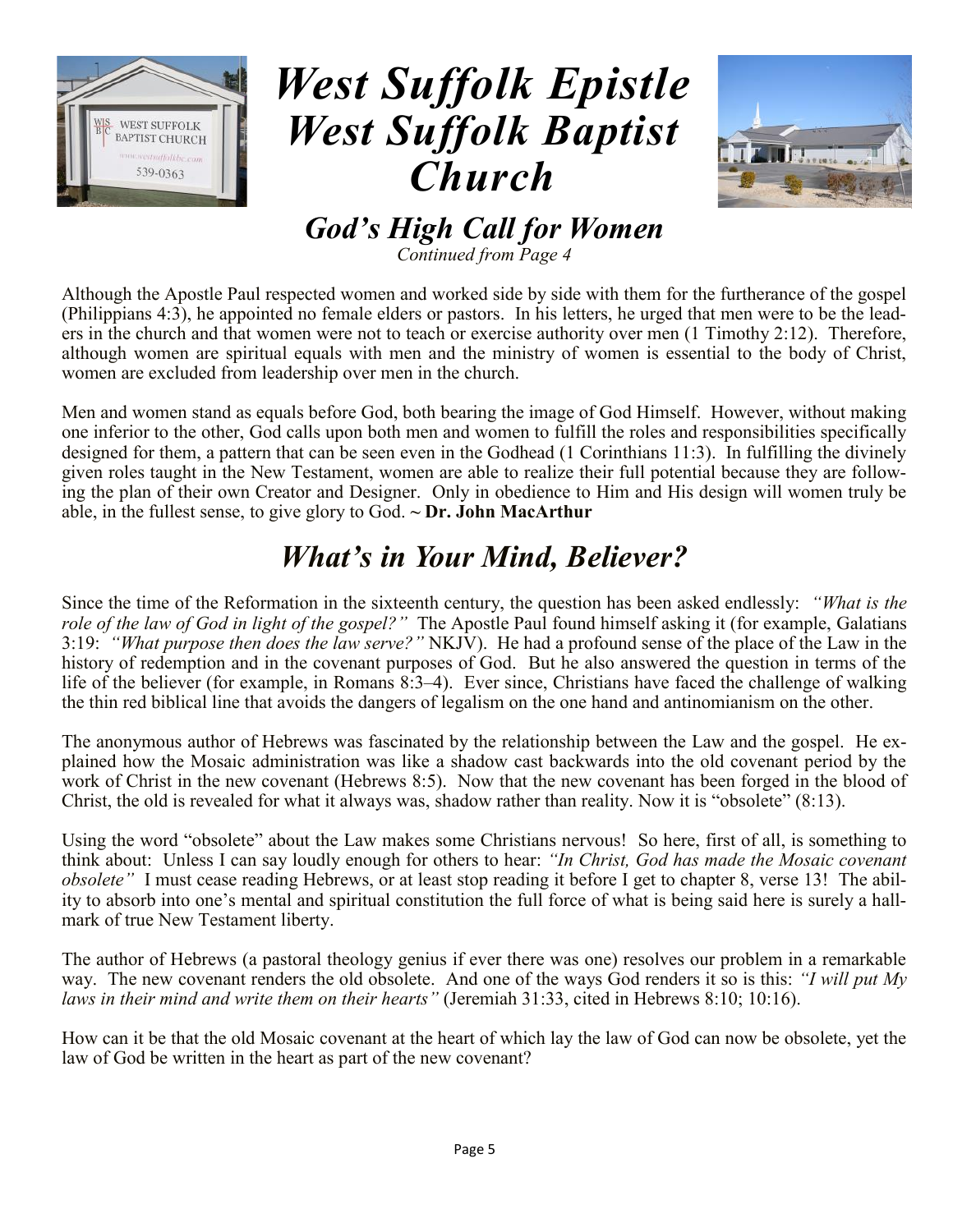



*God's High Call for Women Continued from Page 4*

Although the Apostle Paul respected women and worked side by side with them for the furtherance of the gospel (Philippians 4:3), he appointed no female elders or pastors. In his letters, he urged that men were to be the leaders in the church and that women were not to teach or exercise authority over men (1 Timothy 2:12). Therefore, although women are spiritual equals with men and the ministry of women is essential to the body of Christ, women are excluded from leadership over men in the church.

Men and women stand as equals before God, both bearing the image of God Himself. However, without making one inferior to the other, God calls upon both men and women to fulfill the roles and responsibilities specifically designed for them, a pattern that can be seen even in the Godhead (1 Corinthians 11:3). In fulfilling the divinely given roles taught in the New Testament, women are able to realize their full potential because they are following the plan of their own Creator and Designer. Only in obedience to Him and His design will women truly be able, in the fullest sense, to give glory to God. **~ Dr. John MacArthur**

### *What's in Your Mind, Believer?*

Since the time of the Reformation in the sixteenth century, the question has been asked endlessly: *"What is the role of the law of God in light of the gospel?"* The Apostle Paul found himself asking it (for example, Galatians 3:19: *"What purpose then does the law serve?"* NKJV). He had a profound sense of the place of the Law in the history of redemption and in the covenant purposes of God. But he also answered the question in terms of the life of the believer (for example, in Romans 8:3–4). Ever since, Christians have faced the challenge of walking the thin red biblical line that avoids the dangers of legalism on the one hand and antinomianism on the other.

The anonymous author of Hebrews was fascinated by the relationship between the Law and the gospel. He explained how the Mosaic administration was like a shadow cast backwards into the old covenant period by the work of Christ in the new covenant (Hebrews 8:5). Now that the new covenant has been forged in the blood of Christ, the old is revealed for what it always was, shadow rather than reality. Now it is "obsolete" (8:13).

Using the word "obsolete" about the Law makes some Christians nervous! So here, first of all, is something to think about: Unless I can say loudly enough for others to hear: *"In Christ, God has made the Mosaic covenant obsolete"* I must cease reading Hebrews, or at least stop reading it before I get to chapter 8, verse 13! The ability to absorb into one's mental and spiritual constitution the full force of what is being said here is surely a hallmark of true New Testament liberty.

The author of Hebrews (a pastoral theology genius if ever there was one) resolves our problem in a remarkable way. The new covenant renders the old obsolete. And one of the ways God renders it so is this: *"I will put My laws in their mind and write them on their hearts"* (Jeremiah 31:33, cited in Hebrews 8:10; 10:16).

How can it be that the old Mosaic covenant at the heart of which lay the law of God can now be obsolete, yet the law of God be written in the heart as part of the new covenant?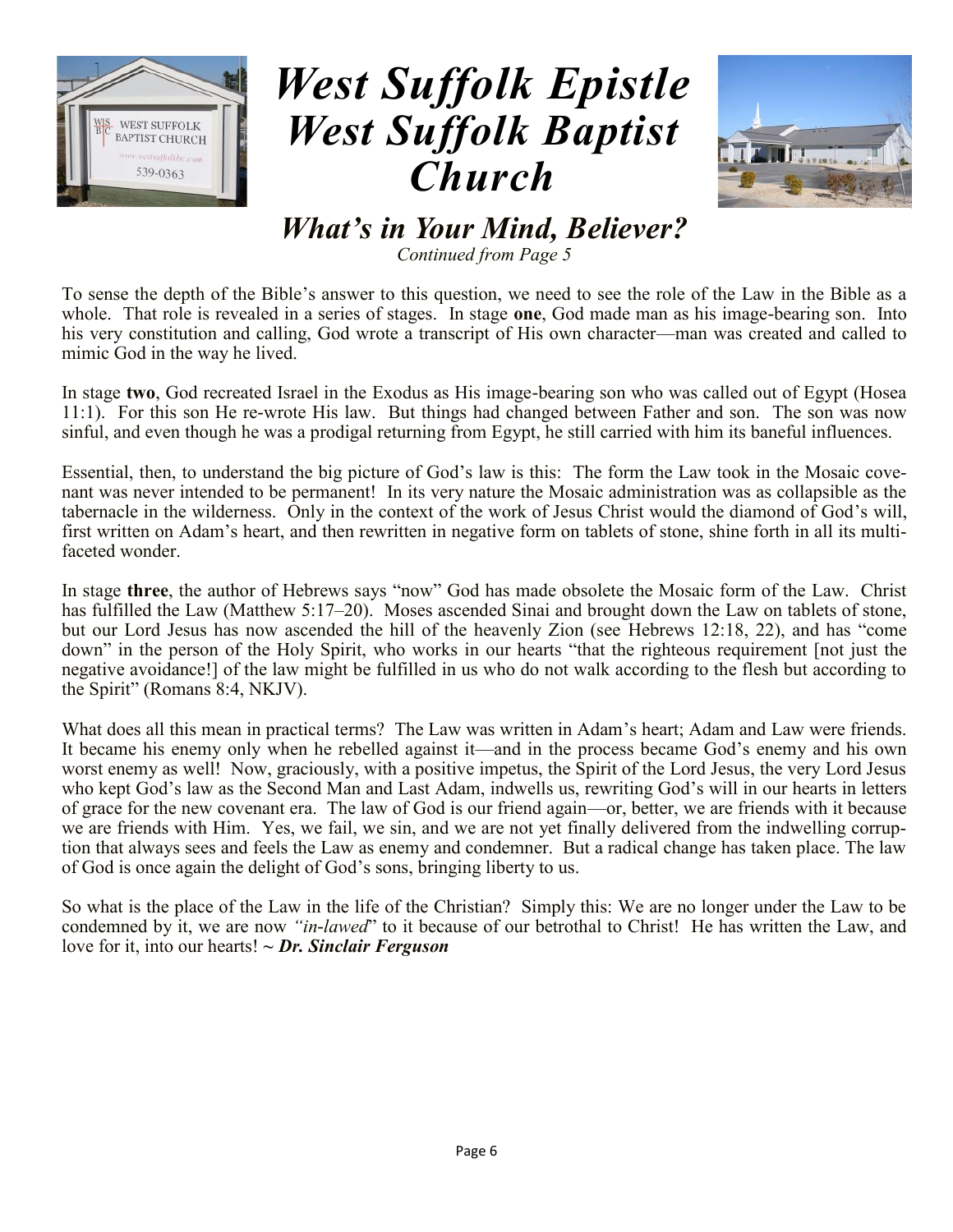



*What's in Your Mind, Believer?*

*Continued from Page 5*

To sense the depth of the Bible's answer to this question, we need to see the role of the Law in the Bible as a whole. That role is revealed in a series of stages. In stage **one**, God made man as his image-bearing son. Into his very constitution and calling, God wrote a transcript of His own character—man was created and called to mimic God in the way he lived.

In stage **two**, God recreated Israel in the Exodus as His image-bearing son who was called out of Egypt (Hosea 11:1). For this son He re-wrote His law. But things had changed between Father and son. The son was now sinful, and even though he was a prodigal returning from Egypt, he still carried with him its baneful influences.

Essential, then, to understand the big picture of God's law is this: The form the Law took in the Mosaic covenant was never intended to be permanent! In its very nature the Mosaic administration was as collapsible as the tabernacle in the wilderness. Only in the context of the work of Jesus Christ would the diamond of God's will, first written on Adam's heart, and then rewritten in negative form on tablets of stone, shine forth in all its multifaceted wonder.

In stage **three**, the author of Hebrews says "now" God has made obsolete the Mosaic form of the Law. Christ has fulfilled the Law (Matthew 5:17–20). Moses ascended Sinai and brought down the Law on tablets of stone, but our Lord Jesus has now ascended the hill of the heavenly Zion (see Hebrews 12:18, 22), and has "come down" in the person of the Holy Spirit, who works in our hearts "that the righteous requirement [not just the negative avoidance!] of the law might be fulfilled in us who do not walk according to the flesh but according to the Spirit" (Romans 8:4, NKJV).

What does all this mean in practical terms? The Law was written in Adam's heart; Adam and Law were friends. It became his enemy only when he rebelled against it—and in the process became God's enemy and his own worst enemy as well! Now, graciously, with a positive impetus, the Spirit of the Lord Jesus, the very Lord Jesus who kept God's law as the Second Man and Last Adam, indwells us, rewriting God's will in our hearts in letters of grace for the new covenant era. The law of God is our friend again—or, better, we are friends with it because we are friends with Him. Yes, we fail, we sin, and we are not yet finally delivered from the indwelling corruption that always sees and feels the Law as enemy and condemner. But a radical change has taken place. The law of God is once again the delight of God's sons, bringing liberty to us.

So what is the place of the Law in the life of the Christian? Simply this: We are no longer under the Law to be condemned by it, we are now *"in-lawed*" to it because of our betrothal to Christ! He has written the Law, and love for it, into our hearts! *~ Dr. Sinclair Ferguson*